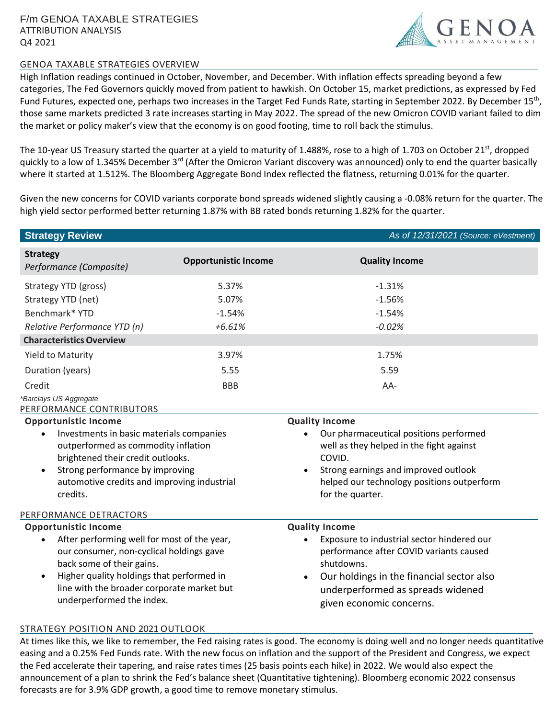

## GENOA TAXABLE STRATEGIES OVERVIEW

High Inflation readings continued in October, November, and December. With inflation effects spreading beyond a few categories, The Fed Governors quickly moved from patient to hawkish. On October 15, market predictions, as expressed by Fed Fund Futures, expected one, perhaps two increases in the Target Fed Funds Rate, starting in September 2022. By December 15<sup>th</sup>, those same markets predicted 3 rate increases starting in May 2022. The spread of the new Omicron COVID variant failed to dim the market or policy maker's view that the economy is on good footing, time to roll back the stimulus.

The 10-year US Treasury started the quarter at a yield to maturity of 1.488%, rose to a high of 1.703 on October 21<sup>st</sup>, dropped quickly to a low of 1.345% December 3<sup>rd</sup> (After the Omicron Variant discovery was announced) only to end the quarter basically where it started at 1.512%. The Bloomberg Aggregate Bond Index reflected the flatness, returning 0.01% for the quarter.

Given the new concerns for COVID variants corporate bond spreads widened slightly causing a -0.08% return for the quarter. The high yield sector performed better returning 1.87% with BB rated bonds returning 1.82% for the quarter.

| <b>Strategy Review</b>                                                                                                                                                                                                                                                                                  |                                                                       | As of 12/31/2021 (Source: eVestment)                                                                                                                                                                                                       |
|---------------------------------------------------------------------------------------------------------------------------------------------------------------------------------------------------------------------------------------------------------------------------------------------------------|-----------------------------------------------------------------------|--------------------------------------------------------------------------------------------------------------------------------------------------------------------------------------------------------------------------------------------|
| <b>Strategy</b><br>Performance (Composite)                                                                                                                                                                                                                                                              | <b>Opportunistic Income</b>                                           | <b>Quality Income</b>                                                                                                                                                                                                                      |
| Strategy YTD (gross)<br>Strategy YTD (net)<br>Benchmark* YTD<br>Relative Performance YTD (n)<br><b>Characteristics Overview</b><br><b>Yield to Maturity</b><br>Duration (years)<br>Credit<br>*Barclays US Aggregate                                                                                     | 5.37%<br>5.07%<br>$-1.54%$<br>$+6.61%$<br>3.97%<br>5.55<br><b>BBB</b> | $-1.31%$<br>$-1.56%$<br>$-1.54%$<br>$-0.02%$<br>1.75%<br>5.59<br>AA-                                                                                                                                                                       |
| PERFORMANCE CONTRIBUTORS<br><b>Opportunistic Income</b><br>Investments in basic materials companies<br>outperformed as commodity inflation<br>brightened their credit outlooks.<br>Strong performance by improving<br>automotive credits and improving industrial<br>credits.<br>PERFORMANCE DETRACTORS |                                                                       | <b>Quality Income</b><br>Our pharmaceutical positions performed<br>well as they helped in the fight against<br>COVID.<br>Strong earnings and improved outlook<br>helped our technology positions outperform<br>for the quarter.            |
| <b>Opportunistic Income</b><br>After performing well for most of the year,<br>$\bullet$<br>our consumer, non-cyclical holdings gave<br>back some of their gains.<br>Higher quality holdings that performed in<br>$\bullet$<br>line with the broader corporate market but<br>underperformed the index.   |                                                                       | <b>Quality Income</b><br>Exposure to industrial sector hindered our<br>performance after COVID variants caused<br>shutdowns.<br>Our holdings in the financial sector also<br>underperformed as spreads widened<br>given economic concerns. |

## STRATEGY POSITION AND 2021 OUTLOOK

At times like this, we like to remember, the Fed raising rates is good. The economy is doing well and no longer needs quantitative easing and a 0.25% Fed Funds rate. With the new focus on inflation and the support of the President and Congress, we expect the Fed accelerate their tapering, and raise rates times (25 basis points each hike) in 2022. We would also expect the announcement of a plan to shrink the Fed's balance sheet (Quantitative tightening). Bloomberg economic 2022 consensus forecasts are for 3.9% GDP growth, a good time to remove monetary stimulus.